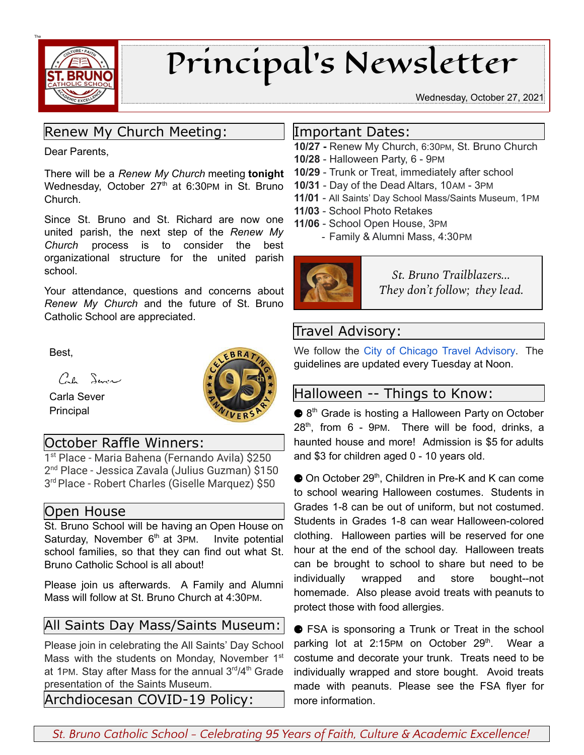

# Principal's Newsletter

Wednesday, October 27, 2021

# Renew My Church Meeting:

Dear Parents,

There will be a *Renew My Church* meeting **tonight** Wednesday, October 27<sup>th</sup> at 6:30PM in St. Bruno Church.

Since St. Bruno and St. Richard are now one united parish, the next step of the *Renew My Church* process is to consider the best organizational structure for the united parish school.

Your attendance, questions and concerns about *Renew My Church* and the future of St. Bruno Catholic School are appreciated.

Best,

Cal Servi

Carla Sever Principal



### October Raffle Winners:

1 st Place - Maria Bahena (Fernando Avila) \$250 2 nd Place - Jessica Zavala (Julius Guzman) \$150 3 rdPlace - Robert Charles (Giselle Marquez) \$50

#### Open House

St. Bruno School will be having an Open House on Saturday, November 6<sup>th</sup> at 3PM. Invite potential school families, so that they can find out what St. Bruno Catholic School is all about!

Please join us afterwards. A Family and Alumni Mass will follow at St. Bruno Church at 4:30PM.

### All Saints Day Mass/Saints Museum:

Please join in celebrating the All Saints' Day School Mass with the students on Monday, November 1<sup>st</sup> at 1PM. Stay after Mass for the annual 3<sup>rd</sup>/4<sup>th</sup> Grade presentation of the Saints Museum.

Archdiocesan COVID-19 Policy:

#### Important Dates:

- **10/27 -** Renew My Church, 6:30PM, St. Bruno Church
- **10/28** Halloween Party, 6 9PM
- **10/29** Trunk or Treat, immediately after school
- **10/31** Day of the Dead Altars, 10AM 3PM
- **11/01** All Saints' Day School Mass/Saints Museum, 1PM
- **11/03** School Photo Retakes
- **11/06** School Open House, 3PM
	- Family & Alumni Mass, 4:30PM



*St. Bruno Trailblazers... They don't follow; they lead.*

# Travel Advisory:

We follow the City of Chicago Travel [Advisory.](https://www.chicago.gov/city/en/sites/covid-19/home/emergency-travel-order.html) The guidelines are updated every Tuesday at Noon.

### Halloween -- Things to Know:

● 8<sup>th</sup> Grade is hosting a Halloween Party on October 28 th , from 6 - 9PM. There will be food, drinks, a haunted house and more! Admission is \$5 for adults and \$3 for children aged 0 - 10 years old.

● On October 29<sup>th</sup>, Children in Pre-K and K can come to school wearing Halloween costumes. Students in Grades 1-8 can be out of uniform, but not costumed. Students in Grades 1-8 can wear Halloween-colored clothing. Halloween parties will be reserved for one hour at the end of the school day. Halloween treats can be brought to school to share but need to be individually wrapped and store bought--not homemade. Also please avoid treats with peanuts to protect those with food allergies.

● FSA is sponsoring a Trunk or Treat in the school parking lot at 2:15PM on October 29<sup>th</sup>. Wear a costume and decorate your trunk. Treats need to be individually wrapped and store bought. Avoid treats made with peanuts. Please see the FSA flyer for more information.

*St. Bruno Catholic School - Celebrating 95 Years of Faith, Culture & Academic Excellence!*